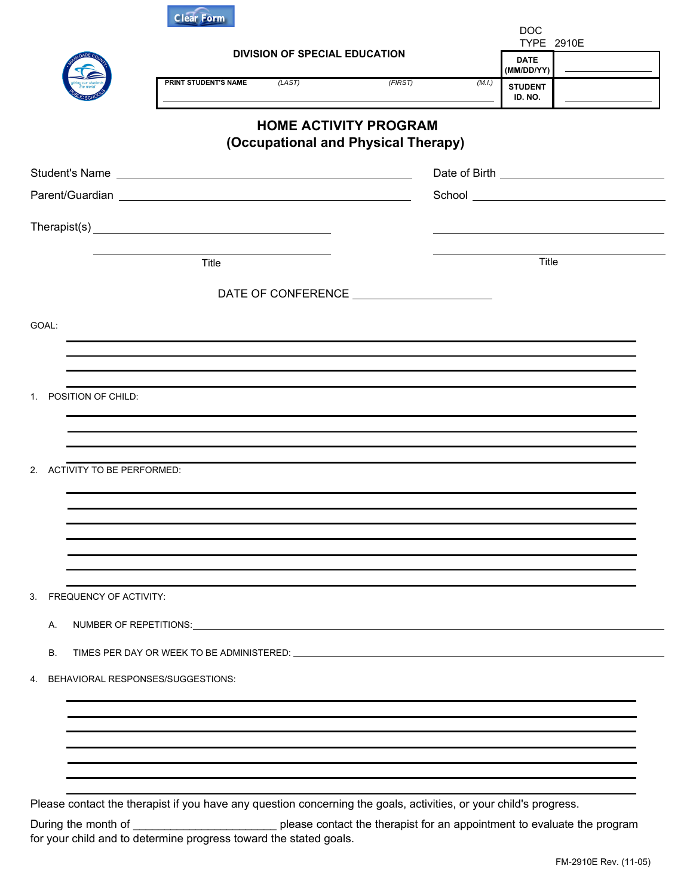| <b>DIVISION OF SPECIAL EDUCATION</b><br>PRINT STUDENT'S NAME<br>(LAST) | (FIRST)<br><b>HOME ACTIVITY PROGRAM</b><br>(Occupational and Physical Therapy) | TYPE 2910E<br><b>DATE</b><br>(MM/DD/YY)<br>(M.I.)<br><b>STUDENT</b><br>ID. NO.                                                                                       |
|------------------------------------------------------------------------|--------------------------------------------------------------------------------|----------------------------------------------------------------------------------------------------------------------------------------------------------------------|
|                                                                        |                                                                                |                                                                                                                                                                      |
|                                                                        |                                                                                |                                                                                                                                                                      |
|                                                                        |                                                                                |                                                                                                                                                                      |
|                                                                        |                                                                                |                                                                                                                                                                      |
|                                                                        |                                                                                |                                                                                                                                                                      |
|                                                                        |                                                                                |                                                                                                                                                                      |
| Title                                                                  |                                                                                | Title                                                                                                                                                                |
|                                                                        |                                                                                |                                                                                                                                                                      |
|                                                                        |                                                                                |                                                                                                                                                                      |
|                                                                        |                                                                                |                                                                                                                                                                      |
| 2. ACTIVITY TO BE PERFORMED:                                           |                                                                                |                                                                                                                                                                      |
|                                                                        |                                                                                |                                                                                                                                                                      |
|                                                                        |                                                                                |                                                                                                                                                                      |
| <b>FREQUENCY OF ACTIVITY:</b>                                          |                                                                                |                                                                                                                                                                      |
|                                                                        |                                                                                |                                                                                                                                                                      |
|                                                                        |                                                                                |                                                                                                                                                                      |
|                                                                        |                                                                                |                                                                                                                                                                      |
|                                                                        |                                                                                |                                                                                                                                                                      |
|                                                                        |                                                                                |                                                                                                                                                                      |
|                                                                        |                                                                                |                                                                                                                                                                      |
|                                                                        |                                                                                |                                                                                                                                                                      |
|                                                                        | BEHAVIORAL RESPONSES/SUGGESTIONS:                                              | NUMBER OF REPETITIONS: NUMBER OF A REPETITIONS:<br>Please contact the therapist if you have any question concerning the goals, activities, or your child's progress. |

During the month of \_\_\_\_\_\_\_\_\_\_\_\_\_\_\_\_\_\_\_\_\_\_\_\_\_\_\_\_\_\_\_\_ please contact the therapist for an appointment to evaluate the program for your child and to determine progress toward the stated goals.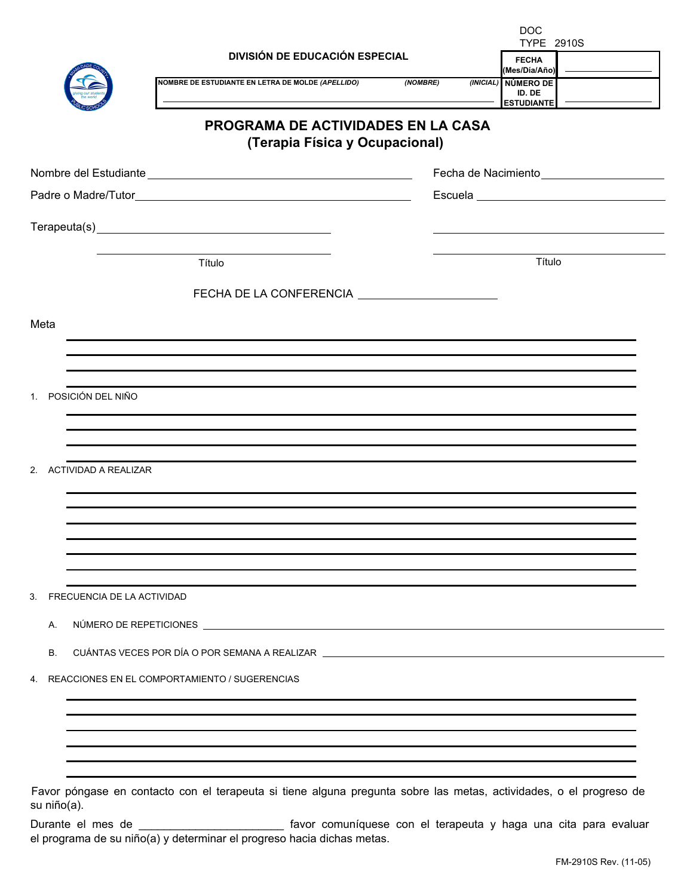|                                                                                                                                                                                                                                      | <b>DOC</b><br><b>TYPE 2910S</b>                                   |  |
|--------------------------------------------------------------------------------------------------------------------------------------------------------------------------------------------------------------------------------------|-------------------------------------------------------------------|--|
| <b>DIVISIÓN DE EDUCACIÓN ESPECIAL</b>                                                                                                                                                                                                | <b>FECHA</b><br>(Mes/Día/Año)                                     |  |
| NOMBRE DE ESTUDIANTE EN LETRA DE MOLDE (APELLIDO)                                                                                                                                                                                    | (NOMBRE)<br>(INICIAL)<br>NÚMERO DE<br>ID. DE<br><b>ESTUDIANTE</b> |  |
| <b>PROGRAMA DE ACTIVIDADES EN LA CASA</b><br>(Terapia Física y Ocupacional)                                                                                                                                                          |                                                                   |  |
|                                                                                                                                                                                                                                      | Fecha de Nacimiento<br><u>Lecte</u>                               |  |
|                                                                                                                                                                                                                                      |                                                                   |  |
|                                                                                                                                                                                                                                      |                                                                   |  |
| Título                                                                                                                                                                                                                               | Título                                                            |  |
| FECHA DE LA CONFERENCIA ______________________                                                                                                                                                                                       |                                                                   |  |
| Meta                                                                                                                                                                                                                                 |                                                                   |  |
|                                                                                                                                                                                                                                      |                                                                   |  |
| 1. POSICIÓN DEL NIÑO                                                                                                                                                                                                                 |                                                                   |  |
| 2. ACTIVIDAD A REALIZAR                                                                                                                                                                                                              |                                                                   |  |
|                                                                                                                                                                                                                                      |                                                                   |  |
| FRECUENCIA DE LA ACTIVIDAD<br>3.                                                                                                                                                                                                     |                                                                   |  |
| NÚMERO DE REPETICIONES LA CONSTITUCIÓN EL CONSTITUCIÓN EL CONSTITUCIÓN EL CONSTITUCIÓN EL CONSTITUCIÓN EL CONSTITUCIÓN EL CONSTITUCIÓN EL CONSTITUCIÓN EL CONSTITUCIÓN EL CONSTITUCIÓN EL CONSTITUCIÓN EL CONSTITUCIÓN EL CONS<br>А. |                                                                   |  |
| CUÁNTAS VECES POR DÍA O POR SEMANA A REALIZAR LA CONSENSIONAL DE CONSENSIONAL DE CONSENSION DE CONSENSION DE C<br><b>B.</b>                                                                                                          |                                                                   |  |
| REACCIONES EN EL COMPORTAMIENTO / SUGERENCIAS<br>4.                                                                                                                                                                                  |                                                                   |  |
|                                                                                                                                                                                                                                      |                                                                   |  |
|                                                                                                                                                                                                                                      |                                                                   |  |
| Favor póngase en contacto con el terapeuta si tiene alguna pregunta sobre las metas, actividades, o el progreso de                                                                                                                   |                                                                   |  |

su niño(a).

Durante el mes de \_\_\_\_\_\_\_\_\_\_\_\_\_\_\_\_\_\_\_\_\_\_\_ favor comuníquese con el terapeuta y haga una cita para evaluar el programa de su niño(a) y determinar el progreso hacia dichas metas.